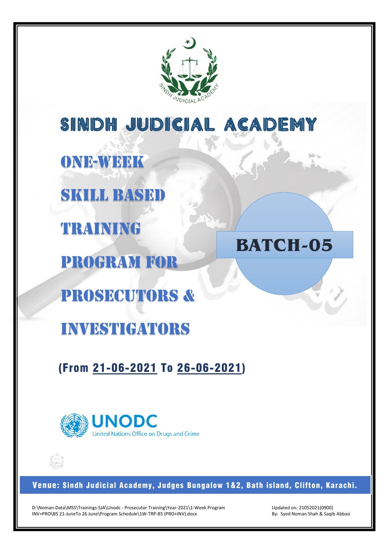

SINDH JUDICIAL ACADEMY **BATCH-05** ONE-WEEK SKILL BASED TRAINING PROGRAM FOR PROSECUTORs & investigators

(From 21-06-2021 To 26-06-2021)



Venue: Sindh Judicial Academy, Judges Bungalow 1&2, Bath island, Clifton, Karachi.

D:\Noman-Data\MSS\Trainings-SJA\Unodc - Prosecutor Training\Year-2021\1-Week Program INV+PRO\B5 21-JuneTo 26 June\Program Schedule\1W-TRP-B5 (PRO+INV).docx

Updated on: 21052021(0900) By: Syed Noman Shah & Saqib Abbasi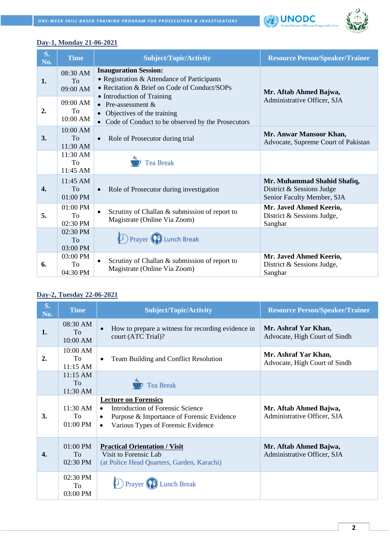



#### **Day-1, Monday 21-06-2021**

| $S_{\bullet}$<br>No. | <b>Time</b>                              | <b>Subject/Topic/Activity</b>                                                                                                                             | <b>Resource Person/Speaker/Trainer</b>                                                 |
|----------------------|------------------------------------------|-----------------------------------------------------------------------------------------------------------------------------------------------------------|----------------------------------------------------------------------------------------|
| 1.                   | 08:30 AM<br>To<br>09:00 AM               | <b>Inauguration Session:</b><br>• Registration & Attendance of Participants<br>• Recitation & Brief on Code of Conduct/SOPs<br>• Introduction of Training | Mr. Aftab Ahmed Bajwa,                                                                 |
| 2.                   | 09:00 AM<br>To.<br>10:00 AM              | • Pre-assessment $&$<br>Objectives of the training<br>• Code of Conduct to be observed by the Prosecutors                                                 | Administrative Officer, SJA                                                            |
| 3.                   | $10:00$ AM<br>T <sub>0</sub><br>11:30 AM | Role of Prosecutor during trial<br>$\bullet$                                                                                                              | Mr. Anwar Mansoor Khan,<br>Advocate, Supreme Court of Pakistan                         |
|                      | 11:30 AM<br>To<br>11:45 AM               | <b>Tea Break</b>                                                                                                                                          |                                                                                        |
| 4.                   | $11:45$ AM<br>To<br>01:00 PM             | Role of Prosecutor during investigation<br>$\bullet$                                                                                                      | Mr. Muhammad Shahid Shafiq,<br>District & Sessions Judge<br>Senior Faculty Member, SJA |
| 5.                   | $01:00$ PM<br>To<br>$02:30$ PM           | Scrutiny of Challan & submission of report to<br>$\bullet$<br>Magistrate (Online Via Zoom)                                                                | Mr. Javed Ahmed Keerio,<br>District & Sessions Judge,<br>Sanghar                       |
|                      | 02:30 PM<br>To<br>03:00 PM               | <b>D</b> Prayer <b>P</b> Lunch Break                                                                                                                      |                                                                                        |
| 6.                   | 03:00 PM<br>To<br>04:30 PM               | Scrutiny of Challan & submission of report to<br>Magistrate (Online Via Zoom)                                                                             | Mr. Javed Ahmed Keerio,<br>District & Sessions Judge,<br>Sanghar                       |

#### **Day-2, Tuesday 22-06-2021**

| $S_{\bullet}$<br>No. | <b>Time</b>                  | <b>Subject/Topic/Activity</b>                                                                                                                                                                    | <b>Resource Person/Speaker/Trainer</b>                |
|----------------------|------------------------------|--------------------------------------------------------------------------------------------------------------------------------------------------------------------------------------------------|-------------------------------------------------------|
| 1.                   | 08:30 AM<br>To<br>10:00 AM   | How to prepare a witness for recording evidence in<br>$\bullet$<br>court (ATC Trial)?                                                                                                            | Mr. Ashraf Yar Khan,<br>Advocate, High Court of Sindh |
| 2.                   | 10:00 AM<br>To<br>$11:15$ AM | Team Building and Conflict Resolution<br>٠                                                                                                                                                       | Mr. Ashraf Yar Khan,<br>Advocate, High Court of Sindh |
|                      | $11:15$ AM<br>To<br>11:30 AM | Tea Break                                                                                                                                                                                        |                                                       |
| 3.                   | $11:30$ AM<br>To<br>01:00 PM | <b>Lecture on Forensics</b><br><b>Introduction of Forensic Science</b><br>$\bullet$<br>Purpose & Importance of Forensic Evidence<br>$\bullet$<br>Various Types of Forensic Evidence<br>$\bullet$ | Mr. Aftab Ahmed Bajwa,<br>Administrative Officer, SJA |
| 4.                   | $01:00$ PM<br>To<br>02:30 PM | <b>Practical Orientation / Visit</b><br>Visit to Forensic Lab<br>(at Police Head Quarters, Garden, Karachi)                                                                                      | Mr. Aftab Ahmed Bajwa,<br>Administrative Officer, SJA |
|                      | 02:30 PM<br>To<br>03:00 PM   | <b>Lunch Break</b>                                                                                                                                                                               |                                                       |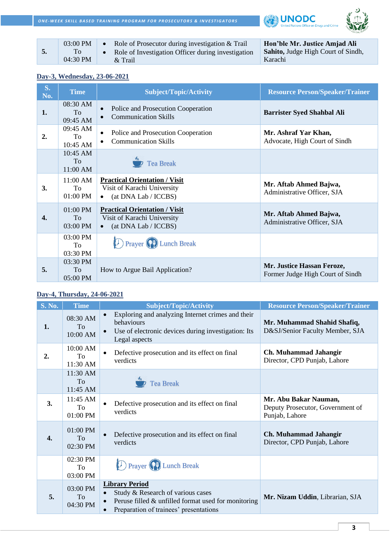**ONE-WEEK SKILL BASED TRAINING PROGRAM FOR PROSECUTORS & INVESTIGATORS** 





|  | $03:00$ PM<br>04:30 PM | Role of Prosecutor during investigation & Trail<br>Role of Investigation Officer during investigation<br>& Trail | Hon'ble Mr. Justice Amjad Ali<br><b>Sahito, Judge High Court of Sindh,</b><br>Karachi |
|--|------------------------|------------------------------------------------------------------------------------------------------------------|---------------------------------------------------------------------------------------|
|--|------------------------|------------------------------------------------------------------------------------------------------------------|---------------------------------------------------------------------------------------|

### **Day-3, Wednesday, 23-06-2021**

| $S_{\bullet}$<br>No. | <b>Time</b>                  | <b>Subject/Topic/Activity</b>                                                                            | <b>Resource Person/Speaker/Trainer</b>                         |
|----------------------|------------------------------|----------------------------------------------------------------------------------------------------------|----------------------------------------------------------------|
| 1.                   | 08:30 AM<br>To<br>09:45 AM   | Police and Prosecution Cooperation<br>$\bullet$<br><b>Communication Skills</b>                           | <b>Barrister Syed Shahbal Ali</b>                              |
| 2.                   | 09:45 AM<br>To<br>10:45 AM   | Police and Prosecution Cooperation<br>$\bullet$<br><b>Communication Skills</b><br>$\bullet$              | Mr. Ashraf Yar Khan,<br>Advocate, High Court of Sindh          |
|                      | 10:45 AM<br>To<br>11:00 AM   | <b>Tea Break</b>                                                                                         |                                                                |
| 3.                   | 11:00 AM<br>To<br>$01:00$ PM | <b>Practical Orientation / Visit</b><br>Visit of Karachi University<br>(at DNA Lab / ICCBS)<br>$\bullet$ | Mr. Aftab Ahmed Bajwa,<br>Administrative Officer, SJA          |
| 4.                   | 01:00 PM<br>To<br>03:00 PM   | <b>Practical Orientation / Visit</b><br>Visit of Karachi University<br>(at DNA Lab / ICCBS)<br>$\bullet$ | Mr. Aftab Ahmed Bajwa,<br>Administrative Officer, SJA          |
|                      | 03:00 PM<br>To<br>03:30 PM   | <b>D</b> Prayer (P) Lunch Break                                                                          |                                                                |
| 5.                   | 03:30 PM<br>To<br>05:00 PM   | How to Argue Bail Application?                                                                           | Mr. Justice Hassan Feroze,<br>Former Judge High Court of Sindh |

## **Day-4, Thursday, 24-06-2021**

| <b>S. No.</b>    | <b>Time</b>                | <b>Subject/Topic/Activity</b>                                                                                                                                  | <b>Resource Person/Speaker/Trainer</b>                                      |
|------------------|----------------------------|----------------------------------------------------------------------------------------------------------------------------------------------------------------|-----------------------------------------------------------------------------|
| 1.               | 08:30 AM<br>To<br>10:00 AM | Exploring and analyzing Internet crimes and their<br>behaviours<br>Use of electronic devices during investigation: Its<br>Legal aspects                        | Mr. Muhammad Shahid Shafiq,<br>D&SJ/Senior Faculty Member, SJA              |
| 2.               | 10:00 AM<br>To<br>11:30 AM | Defective prosecution and its effect on final<br>verdicts                                                                                                      | Ch. Muhammad Jahangir<br>Director, CPD Punjab, Lahore                       |
|                  | 11:30 AM<br>To<br>11:45 AM | <b>Tea Break</b>                                                                                                                                               |                                                                             |
| 3.               | 11:45 AM<br>To<br>01:00 PM | Defective prosecution and its effect on final<br>verdicts                                                                                                      | Mr. Abu Bakar Nauman,<br>Deputy Prosecutor, Government of<br>Punjab, Lahore |
| $\overline{4}$ . | 01:00 PM<br>To<br>02:30 PM | Defective prosecution and its effect on final<br>verdicts                                                                                                      | Ch. Muhammad Jahangir<br>Director, CPD Punjab, Lahore                       |
|                  | 02:30 PM<br>To<br>03:00 PM | <b>D</b> Prayer (P) Lunch Break                                                                                                                                |                                                                             |
| 5.               | 03:00 PM<br>To<br>04:30 PM | <b>Library Period</b><br>Study & Research of various cases<br>Peruse filled $\&$ unfilled format used for monitoring<br>Preparation of trainees' presentations | Mr. Nizam Uddin, Librarian, SJA                                             |